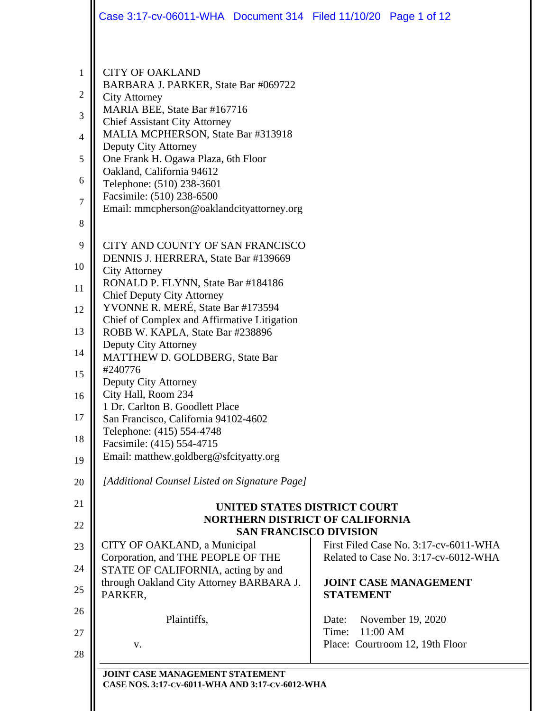|                          | Case 3:17-cv-06011-WHA  Document 314  Filed 11/10/20  Page 1 of 12                                                                                                                                   |                                       |  |
|--------------------------|------------------------------------------------------------------------------------------------------------------------------------------------------------------------------------------------------|---------------------------------------|--|
| 1<br>$\overline{2}$<br>3 | <b>CITY OF OAKLAND</b><br>BARBARA J. PARKER, State Bar #069722<br><b>City Attorney</b><br>MARIA BEE, State Bar #167716<br><b>Chief Assistant City Attorney</b><br>MALIA MCPHERSON, State Bar #313918 |                                       |  |
| 4                        | Deputy City Attorney                                                                                                                                                                                 |                                       |  |
| 5                        | One Frank H. Ogawa Plaza, 6th Floor                                                                                                                                                                  |                                       |  |
| 6                        | Oakland, California 94612<br>Telephone: (510) 238-3601                                                                                                                                               |                                       |  |
| 7                        | Facsimile: (510) 238-6500                                                                                                                                                                            |                                       |  |
| 8                        | Email: mmcpherson@oaklandcityattorney.org                                                                                                                                                            |                                       |  |
|                          |                                                                                                                                                                                                      |                                       |  |
| 9<br>10                  | CITY AND COUNTY OF SAN FRANCISCO<br>DENNIS J. HERRERA, State Bar #139669                                                                                                                             |                                       |  |
| 11                       | <b>City Attorney</b><br>RONALD P. FLYNN, State Bar #184186                                                                                                                                           |                                       |  |
|                          | <b>Chief Deputy City Attorney</b>                                                                                                                                                                    |                                       |  |
| 12                       | YVONNE R. MERÉ, State Bar #173594<br>Chief of Complex and Affirmative Litigation                                                                                                                     |                                       |  |
| 13                       | ROBB W. KAPLA, State Bar #238896                                                                                                                                                                     |                                       |  |
| 14                       | Deputy City Attorney<br>MATTHEW D. GOLDBERG, State Bar                                                                                                                                               |                                       |  |
| 15                       | #240776                                                                                                                                                                                              |                                       |  |
| 16                       | Deputy City Attorney<br>City Hall, Room 234                                                                                                                                                          |                                       |  |
|                          | 1 Dr. Carlton B. Goodlett Place                                                                                                                                                                      |                                       |  |
| 17                       | San Francisco, California 94102-4602<br>Telephone: (415) 554-4748                                                                                                                                    |                                       |  |
| 18                       | Facsimile: (415) 554-4715                                                                                                                                                                            |                                       |  |
| 19                       | Email: matthew.goldberg@sfcityatty.org                                                                                                                                                               |                                       |  |
| 20                       | [Additional Counsel Listed on Signature Page]                                                                                                                                                        |                                       |  |
| 21                       | UNITED STATES DISTRICT COURT                                                                                                                                                                         |                                       |  |
| 22                       | <b>NORTHERN DISTRICT OF CALIFORNIA</b>                                                                                                                                                               |                                       |  |
| 23                       | <b>SAN FRANCISCO DIVISION</b><br>CITY OF OAKLAND, a Municipal                                                                                                                                        | First Filed Case No. 3:17-cv-6011-WHA |  |
|                          | Corporation, and THE PEOPLE OF THE                                                                                                                                                                   | Related to Case No. 3:17-cv-6012-WHA  |  |
| 24                       | STATE OF CALIFORNIA, acting by and<br>through Oakland City Attorney BARBARA J.                                                                                                                       | <b>JOINT CASE MANAGEMENT</b>          |  |
| 25                       | PARKER,                                                                                                                                                                                              | <b>STATEMENT</b>                      |  |
| 26                       | Plaintiffs,                                                                                                                                                                                          | November 19, 2020<br>Date:            |  |
| 27                       |                                                                                                                                                                                                      | Time:<br>11:00 AM                     |  |
| 28                       | V.                                                                                                                                                                                                   | Place: Courtroom 12, 19th Floor       |  |
|                          | JOINT CASE MANAGEMENT STATEMENT                                                                                                                                                                      |                                       |  |
|                          | CASE NOS. 3:17-CV-6011-WHA AND 3:17-CV-6012-WHA                                                                                                                                                      |                                       |  |
|                          |                                                                                                                                                                                                      |                                       |  |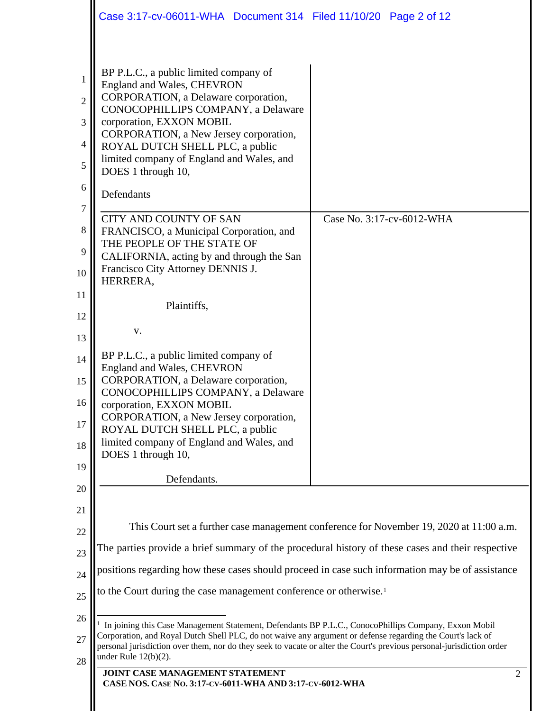<span id="page-1-0"></span>

|                                         | Case 3:17-cv-06011-WHA  Document 314  Filed 11/10/20  Page 2 of 12                                                                                                                                                                                                                                                                                                     |                                                                                         |                |
|-----------------------------------------|------------------------------------------------------------------------------------------------------------------------------------------------------------------------------------------------------------------------------------------------------------------------------------------------------------------------------------------------------------------------|-----------------------------------------------------------------------------------------|----------------|
|                                         |                                                                                                                                                                                                                                                                                                                                                                        |                                                                                         |                |
| 1<br>$\overline{2}$<br>3<br>4<br>5<br>6 | BP P.L.C., a public limited company of<br>England and Wales, CHEVRON<br>CORPORATION, a Delaware corporation,<br>CONOCOPHILLIPS COMPANY, a Delaware<br>corporation, EXXON MOBIL<br>CORPORATION, a New Jersey corporation,<br>ROYAL DUTCH SHELL PLC, a public<br>limited company of England and Wales, and<br>DOES 1 through 10,<br>Defendants                           |                                                                                         |                |
| 7                                       | <b>CITY AND COUNTY OF SAN</b>                                                                                                                                                                                                                                                                                                                                          | Case No. 3:17-cv-6012-WHA                                                               |                |
| 8                                       | FRANCISCO, a Municipal Corporation, and<br>THE PEOPLE OF THE STATE OF                                                                                                                                                                                                                                                                                                  |                                                                                         |                |
| 9<br>10                                 | CALIFORNIA, acting by and through the San<br>Francisco City Attorney DENNIS J.                                                                                                                                                                                                                                                                                         |                                                                                         |                |
| 11                                      | HERRERA,                                                                                                                                                                                                                                                                                                                                                               |                                                                                         |                |
| 12                                      | Plaintiffs,                                                                                                                                                                                                                                                                                                                                                            |                                                                                         |                |
| 13                                      | V.                                                                                                                                                                                                                                                                                                                                                                     |                                                                                         |                |
| 14                                      | BP P.L.C., a public limited company of                                                                                                                                                                                                                                                                                                                                 |                                                                                         |                |
| 15                                      | England and Wales, CHEVRON<br>CORPORATION, a Delaware corporation,                                                                                                                                                                                                                                                                                                     |                                                                                         |                |
| 16                                      | CONOCOPHILLIPS COMPANY, a Delaware<br>corporation, EXXON MOBIL                                                                                                                                                                                                                                                                                                         |                                                                                         |                |
| 17                                      | CORPORATION, a New Jersey corporation,<br>ROYAL DUTCH SHELL PLC, a public                                                                                                                                                                                                                                                                                              |                                                                                         |                |
| 18                                      | limited company of England and Wales, and<br>DOES 1 through 10,                                                                                                                                                                                                                                                                                                        |                                                                                         |                |
| 19                                      | Defendants.                                                                                                                                                                                                                                                                                                                                                            |                                                                                         |                |
| 20                                      |                                                                                                                                                                                                                                                                                                                                                                        |                                                                                         |                |
| 21                                      |                                                                                                                                                                                                                                                                                                                                                                        |                                                                                         |                |
| 22                                      |                                                                                                                                                                                                                                                                                                                                                                        | This Court set a further case management conference for November 19, 2020 at 11:00 a.m. |                |
| 23                                      | The parties provide a brief summary of the procedural history of these cases and their respective                                                                                                                                                                                                                                                                      |                                                                                         |                |
| 24                                      | positions regarding how these cases should proceed in case such information may be of assistance                                                                                                                                                                                                                                                                       |                                                                                         |                |
| 25                                      | to the Court during the case management conference or otherwise. <sup>1</sup>                                                                                                                                                                                                                                                                                          |                                                                                         |                |
| 26<br>27<br>28                          | In joining this Case Management Statement, Defendants BP P.L.C., ConocoPhillips Company, Exxon Mobil<br>Corporation, and Royal Dutch Shell PLC, do not waive any argument or defense regarding the Court's lack of<br>personal jurisdiction over them, nor do they seek to vacate or alter the Court's previous personal-jurisdiction order<br>under Rule $12(b)(2)$ . |                                                                                         |                |
|                                         | JOINT CASE MANAGEMENT STATEMENT<br>CASE NOS. CASE No. 3:17-CV-6011-WHA AND 3:17-CV-6012-WHA                                                                                                                                                                                                                                                                            |                                                                                         | $\overline{2}$ |
|                                         |                                                                                                                                                                                                                                                                                                                                                                        |                                                                                         |                |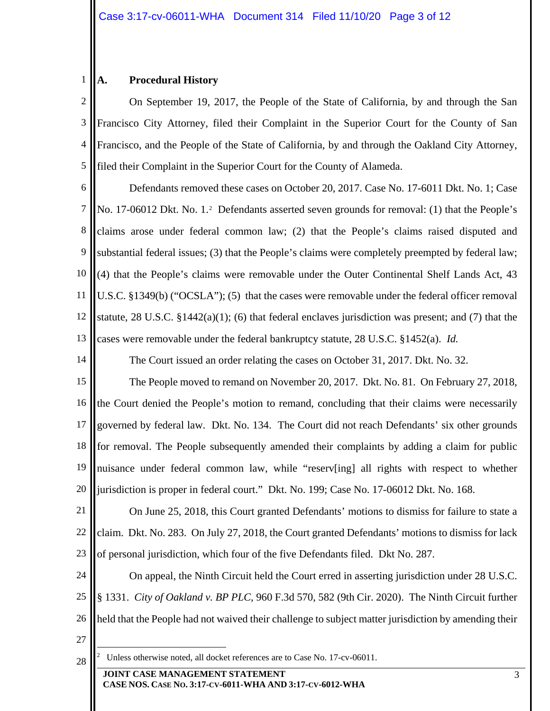## 1 **A. Procedural History**

2 3 4 5 On September 19, 2017, the People of the State of California, by and through the San Francisco City Attorney, filed their Complaint in the Superior Court for the County of San Francisco, and the People of the State of California, by and through the Oakland City Attorney, filed their Complaint in the Superior Court for the County of Alameda.

6 7 8 9 10 11 12 13 Defendants removed these cases on October 20, 2017. Case No. 17-6011 Dkt. No. 1; Case No. 17-0601[2](#page-2-0) Dkt. No. 1.<sup>2</sup> Defendants asserted seven grounds for removal: (1) that the People's claims arose under federal common law; (2) that the People's claims raised disputed and substantial federal issues; (3) that the People's claims were completely preempted by federal law; (4) that the People's claims were removable under the Outer Continental Shelf Lands Act, 43 U.S.C. §1349(b) ("OCSLA"); (5) that the cases were removable under the federal officer removal statute, 28 U.S.C.  $\S 1442(a)(1)$ ; (6) that federal enclaves jurisdiction was present; and (7) that the cases were removable under the federal bankruptcy statute, 28 U.S.C. §1452(a). *Id.*

The Court issued an order relating the cases on October 31, 2017. Dkt. No. 32.

15 16 17 18 19 20 The People moved to remand on November 20, 2017. Dkt. No. 81. On February 27, 2018, the Court denied the People's motion to remand, concluding that their claims were necessarily governed by federal law. Dkt. No. 134. The Court did not reach Defendants' six other grounds for removal. The People subsequently amended their complaints by adding a claim for public nuisance under federal common law, while "reserv[ing] all rights with respect to whether jurisdiction is proper in federal court." Dkt. No. 199; Case No. 17-06012 Dkt. No. 168.

21 22 23 On June 25, 2018, this Court granted Defendants' motions to dismiss for failure to state a claim. Dkt. No. 283. On July 27, 2018, the Court granted Defendants' motions to dismiss for lack of personal jurisdiction, which four of the five Defendants filed. Dkt No. 287.

24 25 26 27 On appeal, the Ninth Circuit held the Court erred in asserting jurisdiction under 28 U.S.C. § 1331. *City of Oakland v. BP PLC*, 960 F.3d 570, 582 (9th Cir. 2020). The Ninth Circuit further held that the People had not waived their challenge to subject matter jurisdiction by amending their

<span id="page-2-0"></span>28

14

 $\frac{1}{2}$ <sup>2</sup> Unless otherwise noted, all docket references are to Case No. 17-cv-06011.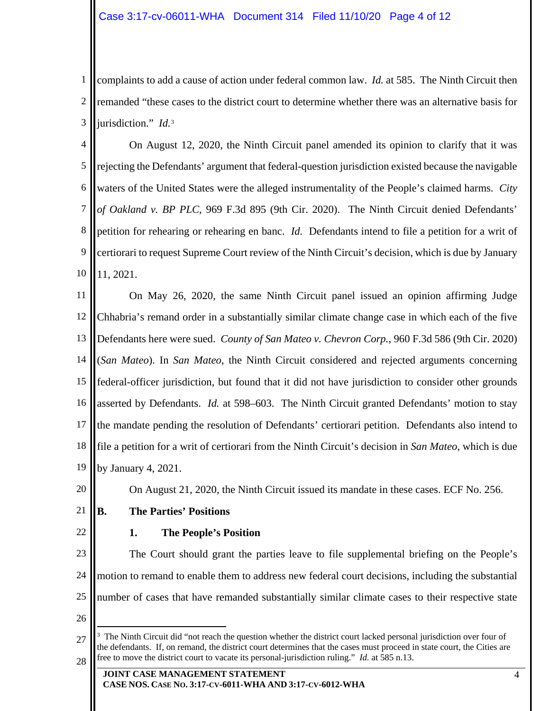1 2 3 complaints to add a cause of action under federal common law. *Id.* at 585. The Ninth Circuit then remanded "these cases to the district court to determine whether there was an alternative basis for jurisdiction." *Id.*[3](#page-3-0)

4 5 6 7 8 9 10 On August 12, 2020, the Ninth Circuit panel amended its opinion to clarify that it was rejecting the Defendants' argument that federal-question jurisdiction existed because the navigable waters of the United States were the alleged instrumentality of the People's claimed harms. *City of Oakland v. BP PLC*, 969 F.3d 895 (9th Cir. 2020). The Ninth Circuit denied Defendants' petition for rehearing or rehearing en banc. *Id.* Defendants intend to file a petition for a writ of certiorari to request Supreme Court review of the Ninth Circuit's decision, which is due by January 11, 2021.

11 12 13 14 15 16 17 18 19 On May 26, 2020, the same Ninth Circuit panel issued an opinion affirming Judge Chhabria's remand order in a substantially similar climate change case in which each of the five Defendants here were sued. *County of San Mateo v. Chevron Corp.*, 960 F.3d 586 (9th Cir. 2020) (*San Mateo*). In *San Mateo*, the Ninth Circuit considered and rejected arguments concerning federal-officer jurisdiction, but found that it did not have jurisdiction to consider other grounds asserted by Defendants. *Id.* at 598–603. The Ninth Circuit granted Defendants' motion to stay the mandate pending the resolution of Defendants' certiorari petition. Defendants also intend to file a petition for a writ of certiorari from the Ninth Circuit's decision in *San Mateo*, which is due by January 4, 2021.

20

On August 21, 2020, the Ninth Circuit issued its mandate in these cases. ECF No. 256.

- 21 **B. The Parties' Positions**
- 22

## **1. The People's Position**

23 24 25 The Court should grant the parties leave to file supplemental briefing on the People's motion to remand to enable them to address new federal court decisions, including the substantial number of cases that have remanded substantially similar climate cases to their respective state

<sup>26</sup>

<span id="page-3-0"></span><sup>27</sup> 28 <sup>-</sup><br>3 The Ninth Circuit did "not reach the question whether the district court lacked personal jurisdiction over four of the defendants. If, on remand, the district court determines that the cases must proceed in state court, the Cities are free to move the district court to vacate its personal-jurisdiction ruling." *Id.* at 585 n.13.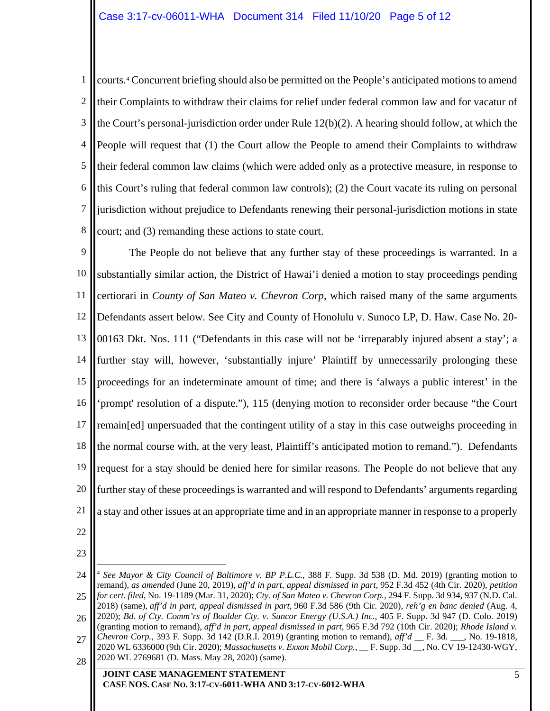1 2 3 4 5 6 7 8 courts.[4](#page-4-0) Concurrent briefing should also be permitted on the People's anticipated motions to amend their Complaints to withdraw their claims for relief under federal common law and for vacatur of the Court's personal-jurisdiction order under Rule 12(b)(2). A hearing should follow, at which the People will request that (1) the Court allow the People to amend their Complaints to withdraw their federal common law claims (which were added only as a protective measure, in response to this Court's ruling that federal common law controls); (2) the Court vacate its ruling on personal jurisdiction without prejudice to Defendants renewing their personal-jurisdiction motions in state court; and (3) remanding these actions to state court.

9 10 11 12 13 14 15 16 17 18 19 20 21 The People do not believe that any further stay of these proceedings is warranted. In a substantially similar action, the District of Hawai'i denied a motion to stay proceedings pending certiorari in *County of San Mateo v. Chevron Corp*, which raised many of the same arguments Defendants assert below. See City and County of Honolulu v. Sunoco LP, D. Haw. Case No. 20- 00163 Dkt. Nos. 111 ("Defendants in this case will not be 'irreparably injured absent a stay'; a further stay will, however, 'substantially injure' Plaintiff by unnecessarily prolonging these proceedings for an indeterminate amount of time; and there is 'always a public interest' in the 'prompt' resolution of a dispute."), 115 (denying motion to reconsider order because "the Court remain[ed] unpersuaded that the contingent utility of a stay in this case outweighs proceeding in the normal course with, at the very least, Plaintiff's anticipated motion to remand."). Defendants request for a stay should be denied here for similar reasons. The People do not believe that any further stay of these proceedings is warranted and will respond to Defendants' arguments regarding a stay and other issues at an appropriate time and in an appropriate manner in response to a properly

- 22
- 23

## **JOINT CASE MANAGEMENT STATEMENT CASE NOS. CASE NO. 3:17-CV-6011-WHA AND 3:17-CV-6012-WHA**

<span id="page-4-0"></span><sup>24</sup> 25 26 27 28 4 *See Mayor & City Council of Baltimore v. BP P.L.C.*, 388 F. Supp. 3d 538 (D. Md. 2019) (granting motion to remand), *as amended* (June 20, 2019), *aff'd in part, appeal dismissed in part*, 952 F.3d 452 (4th Cir. 2020), *petition for cert. filed*, No. 19-1189 (Mar. 31, 2020); *Cty. of San Mateo v. Chevron Corp.*, 294 F. Supp. 3d 934, 937 (N.D. Cal. 2018) (same), *aff'd in part, appeal dismissed in part*, 960 F.3d 586 (9th Cir. 2020), *reh'g en banc denied* (Aug. 4, 2020); *Bd. of Cty. Comm'rs of Boulder Cty. v. Suncor Energy (U.S.A.) Inc.*, 405 F. Supp. 3d 947 (D. Colo. 2019) (granting motion to remand), *aff'd in part, appeal dismissed in part*, 965 F.3d 792 (10th Cir. 2020); *Rhode Island v. Chevron Corp.*, 393 F. Supp. 3d 142 (D.R.I. 2019) (granting motion to remand), *aff'd* \_\_ F. 3d. \_\_\_, No. 19-1818, 2020 WL 6336000 (9th Cir. 2020); *Massachusetts v. Exxon Mobil Corp.*, \_\_ F. Supp. 3d \_\_, No. CV 19-12430-WGY, 2020 WL 2769681 (D. Mass. May 28, 2020) (same).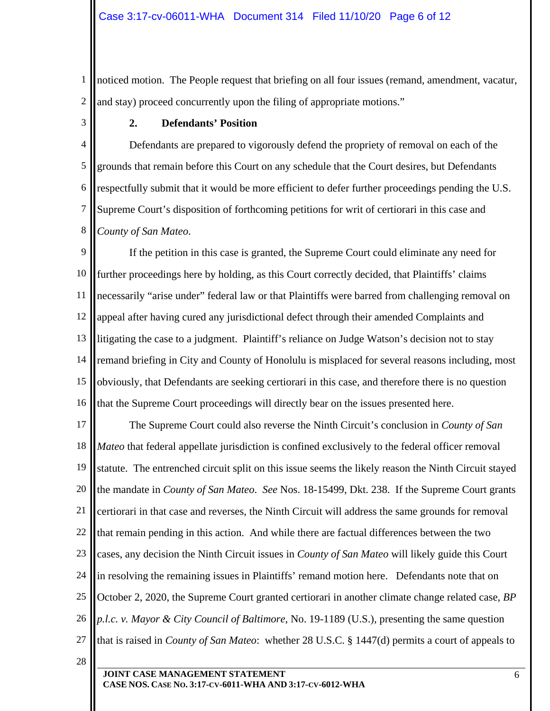1 2 noticed motion. The People request that briefing on all four issues (remand, amendment, vacatur, and stay) proceed concurrently upon the filing of appropriate motions."

3

28

## **2. Defendants' Position**

4 5 6 7 8 Defendants are prepared to vigorously defend the propriety of removal on each of the grounds that remain before this Court on any schedule that the Court desires, but Defendants respectfully submit that it would be more efficient to defer further proceedings pending the U.S. Supreme Court's disposition of forthcoming petitions for writ of certiorari in this case and *County of San Mateo*.

9 10 11 12 13 14 15 16 If the petition in this case is granted, the Supreme Court could eliminate any need for further proceedings here by holding, as this Court correctly decided, that Plaintiffs' claims necessarily "arise under" federal law or that Plaintiffs were barred from challenging removal on appeal after having cured any jurisdictional defect through their amended Complaints and litigating the case to a judgment. Plaintiff's reliance on Judge Watson's decision not to stay remand briefing in City and County of Honolulu is misplaced for several reasons including, most obviously, that Defendants are seeking certiorari in this case, and therefore there is no question that the Supreme Court proceedings will directly bear on the issues presented here.

17 18 19 20 21 22 23 24 25 26 27 The Supreme Court could also reverse the Ninth Circuit's conclusion in *County of San Mateo* that federal appellate jurisdiction is confined exclusively to the federal officer removal statute. The entrenched circuit split on this issue seems the likely reason the Ninth Circuit stayed the mandate in *County of San Mateo*. *See* Nos. 18-15499, Dkt. 238. If the Supreme Court grants certiorari in that case and reverses, the Ninth Circuit will address the same grounds for removal that remain pending in this action. And while there are factual differences between the two cases, any decision the Ninth Circuit issues in *County of San Mateo* will likely guide this Court in resolving the remaining issues in Plaintiffs' remand motion here. Defendants note that on October 2, 2020, the Supreme Court granted certiorari in another climate change related case, *BP p.l.c. v. Mayor & City Council of Baltimore*, No. 19-1189 (U.S.), presenting the same question that is raised in *County of San Mateo*: whether 28 U.S.C. § 1447(d) permits a court of appeals to

**JOINT CASE MANAGEMENT STATEMENT CASE NOS. CASE NO. 3:17-CV-6011-WHA AND 3:17-CV-6012-WHA**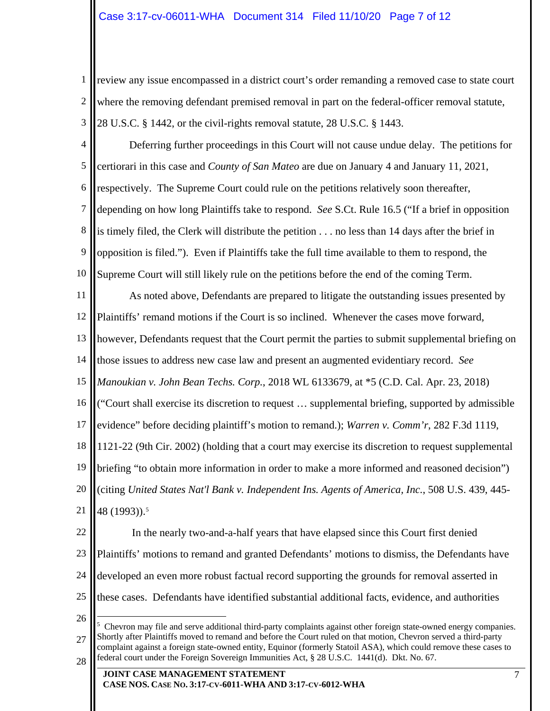1 2 3 review any issue encompassed in a district court's order remanding a removed case to state court where the removing defendant premised removal in part on the federal-officer removal statute, 28 U.S.C. § 1442, or the civil-rights removal statute, 28 U.S.C. § 1443.

4 5 6 7 8 9 10 Deferring further proceedings in this Court will not cause undue delay. The petitions for certiorari in this case and *County of San Mateo* are due on January 4 and January 11, 2021, respectively. The Supreme Court could rule on the petitions relatively soon thereafter, depending on how long Plaintiffs take to respond. *See* S.Ct. Rule 16.5 ("If a brief in opposition is timely filed, the Clerk will distribute the petition . . . no less than 14 days after the brief in opposition is filed."). Even if Plaintiffs take the full time available to them to respond, the Supreme Court will still likely rule on the petitions before the end of the coming Term.

11 12 13 14 As noted above, Defendants are prepared to litigate the outstanding issues presented by Plaintiffs' remand motions if the Court is so inclined. Whenever the cases move forward, however, Defendants request that the Court permit the parties to submit supplemental briefing on those issues to address new case law and present an augmented evidentiary record. *See*

15 *Manoukian v. John Bean Techs. Corp.*, 2018 WL 6133679, at \*5 (C.D. Cal. Apr. 23, 2018)

16 ("Court shall exercise its discretion to request … supplemental briefing, supported by admissible

17 evidence" before deciding plaintiff's motion to remand.); *Warren v. Comm'r*, 282 F.3d 1119,

18 1121-22 (9th Cir. 2002) (holding that a court may exercise its discretion to request supplemental

19 20 21 briefing "to obtain more information in order to make a more informed and reasoned decision") (citing *United States Nat'l Bank v. Independent Ins. Agents of America, Inc.*, 508 U.S. 439, 445- 48 (1993))[.5](#page-6-0)

22 23 24 25 In the nearly two-and-a-half years that have elapsed since this Court first denied Plaintiffs' motions to remand and granted Defendants' motions to dismiss, the Defendants have developed an even more robust factual record supporting the grounds for removal asserted in these cases. Defendants have identified substantial additional facts, evidence, and authorities

26

<span id="page-6-0"></span>27 28  $\frac{1}{5}$  Chevron may file and serve additional third-party complaints against other foreign state-owned energy companies. Shortly after Plaintiffs moved to remand and before the Court ruled on that motion, Chevron served a third-party complaint against a foreign state-owned entity, Equinor (formerly Statoil ASA), which could remove these cases to federal court under the Foreign Sovereign Immunities Act, § 28 U.S.C. 1441(d). Dkt. No. 67.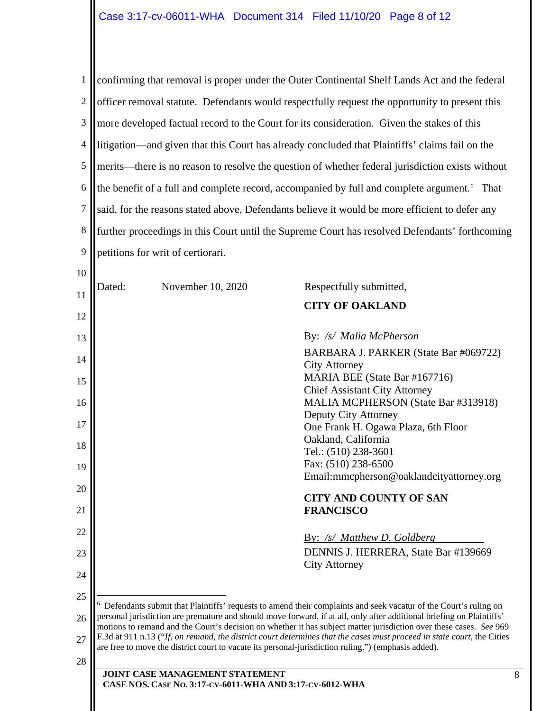<span id="page-7-0"></span>

| 1              | confirming that removal is proper under the Outer Continental Shelf Lands Act and the federal                                                                                                                                                                                                                                                       |                                                                                                  |  |  |
|----------------|-----------------------------------------------------------------------------------------------------------------------------------------------------------------------------------------------------------------------------------------------------------------------------------------------------------------------------------------------------|--------------------------------------------------------------------------------------------------|--|--|
| $\overline{2}$ | officer removal statute. Defendants would respectfully request the opportunity to present this                                                                                                                                                                                                                                                      |                                                                                                  |  |  |
| 3              | more developed factual record to the Court for its consideration. Given the stakes of this                                                                                                                                                                                                                                                          |                                                                                                  |  |  |
| 4              |                                                                                                                                                                                                                                                                                                                                                     | litigation—and given that this Court has already concluded that Plaintiffs' claims fail on the   |  |  |
| 5              |                                                                                                                                                                                                                                                                                                                                                     | merits—there is no reason to resolve the question of whether federal jurisdiction exists without |  |  |
| 6              | the benefit of a full and complete record, accompanied by full and complete argument. <sup>6</sup> That                                                                                                                                                                                                                                             |                                                                                                  |  |  |
| $\overline{7}$ |                                                                                                                                                                                                                                                                                                                                                     | said, for the reasons stated above, Defendants believe it would be more efficient to defer any   |  |  |
| 8              |                                                                                                                                                                                                                                                                                                                                                     | further proceedings in this Court until the Supreme Court has resolved Defendants' forthcoming   |  |  |
| 9              | petitions for writ of certiorari.                                                                                                                                                                                                                                                                                                                   |                                                                                                  |  |  |
| 10             |                                                                                                                                                                                                                                                                                                                                                     |                                                                                                  |  |  |
| 11             | Dated:<br>November 10, 2020                                                                                                                                                                                                                                                                                                                         | Respectfully submitted,                                                                          |  |  |
| 12             |                                                                                                                                                                                                                                                                                                                                                     | <b>CITY OF OAKLAND</b>                                                                           |  |  |
| 13             |                                                                                                                                                                                                                                                                                                                                                     | By: /s/ Malia McPherson                                                                          |  |  |
| 14             |                                                                                                                                                                                                                                                                                                                                                     | BARBARA J. PARKER (State Bar #069722)                                                            |  |  |
| 15             |                                                                                                                                                                                                                                                                                                                                                     | <b>City Attorney</b><br>MARIA BEE (State Bar #167716)                                            |  |  |
| 16             |                                                                                                                                                                                                                                                                                                                                                     | <b>Chief Assistant City Attorney</b><br>MALIA MCPHERSON (State Bar #313918)                      |  |  |
| 17             |                                                                                                                                                                                                                                                                                                                                                     | Deputy City Attorney                                                                             |  |  |
| 18             | One Frank H. Ogawa Plaza, 6th Floor<br>Oakland, California                                                                                                                                                                                                                                                                                          |                                                                                                  |  |  |
|                |                                                                                                                                                                                                                                                                                                                                                     | Tel.: (510) 238-3601                                                                             |  |  |
| 19             | Fax: (510) 238-6500<br>Email:mmcpherson@oaklandcityattorney.org                                                                                                                                                                                                                                                                                     |                                                                                                  |  |  |
| 20<br>21       |                                                                                                                                                                                                                                                                                                                                                     | <b>CITY AND COUNTY OF SAN</b><br><b>FRANCISCO</b>                                                |  |  |
| 22             |                                                                                                                                                                                                                                                                                                                                                     | By: /s/ Matthew D. Goldberg                                                                      |  |  |
| 23             |                                                                                                                                                                                                                                                                                                                                                     | DENNIS J. HERRERA, State Bar #139669                                                             |  |  |
| 24             |                                                                                                                                                                                                                                                                                                                                                     | <b>City Attorney</b>                                                                             |  |  |
| 25             |                                                                                                                                                                                                                                                                                                                                                     |                                                                                                  |  |  |
| 26             | $6$ Defendants submit that Plaintiffs' requests to amend their complaints and seek vacatur of the Court's ruling on<br>personal jurisdiction are premature and should move forward, if at all, only after additional briefing on Plaintiffs'                                                                                                        |                                                                                                  |  |  |
| 27             | motions to remand and the Court's decision on whether it has subject matter jurisdiction over these cases. See 969<br>F.3d at 911 n.13 ("If, on remand, the district court determines that the cases must proceed in state court, the Cities<br>are free to move the district court to vacate its personal-jurisdiction ruling.") (emphasis added). |                                                                                                  |  |  |
| 28             | <b>JOINT CASE MANAGEMENT STATEMENT</b>                                                                                                                                                                                                                                                                                                              |                                                                                                  |  |  |
|                | CASE NOS. CASE No. 3:17-CV-6011-WHA AND 3:17-CV-6012-WHA                                                                                                                                                                                                                                                                                            |                                                                                                  |  |  |
|                |                                                                                                                                                                                                                                                                                                                                                     |                                                                                                  |  |  |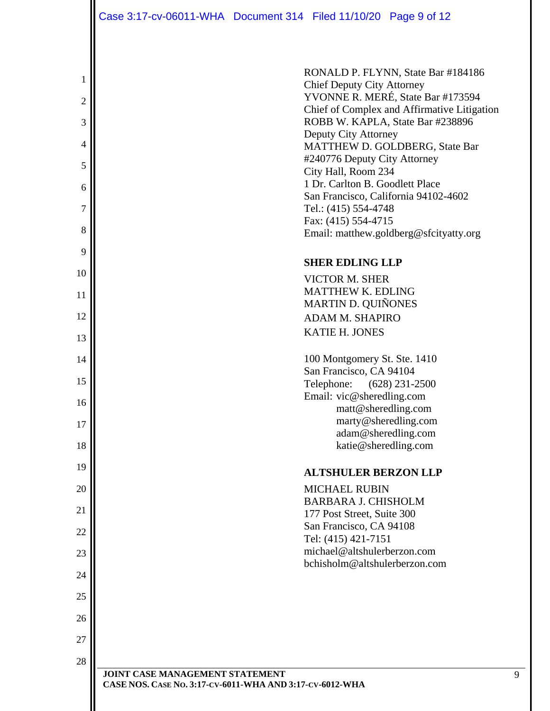|                | Case 3:17-cv-06011-WHA  Document 314  Filed 11/10/20  Page 9 of 12 |                                                          |                                                                                 |
|----------------|--------------------------------------------------------------------|----------------------------------------------------------|---------------------------------------------------------------------------------|
|                |                                                                    |                                                          |                                                                                 |
| 1              |                                                                    |                                                          | RONALD P. FLYNN, State Bar #184186                                              |
| $\overline{c}$ |                                                                    | <b>Chief Deputy City Attorney</b>                        | YVONNE R. MERÉ, State Bar #173594                                               |
| 3              |                                                                    |                                                          | Chief of Complex and Affirmative Litigation<br>ROBB W. KAPLA, State Bar #238896 |
|                |                                                                    | Deputy City Attorney                                     |                                                                                 |
| 4              |                                                                    | #240776 Deputy City Attorney                             | MATTHEW D. GOLDBERG, State Bar                                                  |
| 5              |                                                                    | City Hall, Room 234                                      |                                                                                 |
| 6              |                                                                    | 1 Dr. Carlton B. Goodlett Place                          | San Francisco, California 94102-4602                                            |
| $\overline{7}$ |                                                                    | Tel.: (415) 554-4748                                     |                                                                                 |
| 8              |                                                                    | Fax: (415) 554-4715                                      | Email: matthew.goldberg@sfcityatty.org                                          |
| 9              |                                                                    |                                                          |                                                                                 |
| 10             |                                                                    | <b>SHER EDLING LLP</b>                                   |                                                                                 |
| 11             |                                                                    | <b>VICTOR M. SHER</b><br><b>MATTHEW K. EDLING</b>        |                                                                                 |
|                |                                                                    | MARTIN D. QUIÑONES                                       |                                                                                 |
| 12             |                                                                    | <b>ADAM M. SHAPIRO</b>                                   |                                                                                 |
| 13             |                                                                    | <b>KATIE H. JONES</b>                                    |                                                                                 |
| 14             |                                                                    | 100 Montgomery St. Ste. 1410                             |                                                                                 |
| 15             |                                                                    | San Francisco, CA 94104<br>Telephone: (628) 231-2500     |                                                                                 |
| 16             |                                                                    | Email: vic@sheredling.com                                |                                                                                 |
| 17             |                                                                    | matt@sheredling.com                                      | marty@sheredling.com                                                            |
|                |                                                                    |                                                          | adam@sheredling.com                                                             |
| 18             |                                                                    | katie@sheredling.com                                     |                                                                                 |
| 19             |                                                                    | <b>ALTSHULER BERZON LLP</b>                              |                                                                                 |
| 20             |                                                                    | <b>MICHAEL RUBIN</b>                                     |                                                                                 |
| 21             |                                                                    | <b>BARBARA J. CHISHOLM</b><br>177 Post Street, Suite 300 |                                                                                 |
| 22             |                                                                    | San Francisco, CA 94108                                  |                                                                                 |
| 23             |                                                                    | Tel: (415) 421-7151<br>michael@altshulerberzon.com       |                                                                                 |
| 24             |                                                                    | bchisholm@altshulerberzon.com                            |                                                                                 |
| 25             |                                                                    |                                                          |                                                                                 |
| 26             |                                                                    |                                                          |                                                                                 |
| 27             |                                                                    |                                                          |                                                                                 |
|                |                                                                    |                                                          |                                                                                 |
| 28             | JOINT CASE MANAGEMENT STATEMENT                                    |                                                          |                                                                                 |
|                | CASE NOS. CASE No. 3:17-CV-6011-WHA AND 3:17-CV-6012-WHA           |                                                          |                                                                                 |

9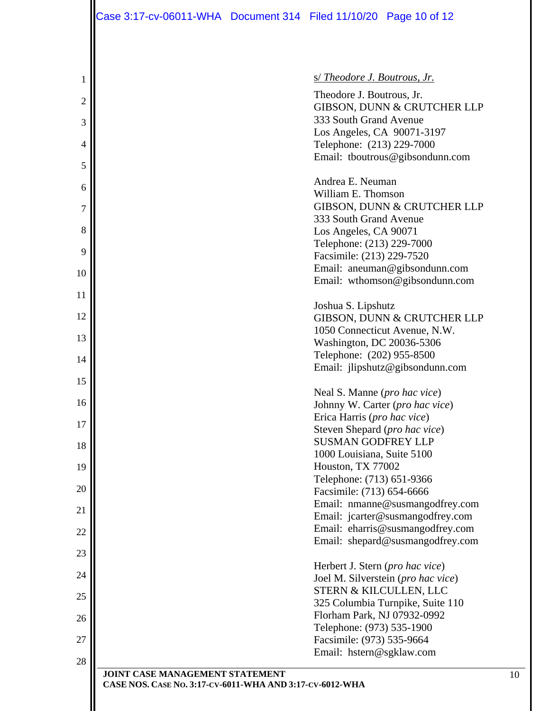| 1              | <u>s/ Theodore J. Boutrous, Jr.</u>                                                         |
|----------------|---------------------------------------------------------------------------------------------|
| $\mathfrak{2}$ | Theodore J. Boutrous, Jr.                                                                   |
| 3              | GIBSON, DUNN & CRUTCHER LLP<br>333 South Grand Avenue                                       |
| 4              | Los Angeles, CA 90071-3197<br>Telephone: (213) 229-7000                                     |
| 5              | Email: tboutrous@gibsondunn.com                                                             |
| 6              | Andrea E. Neuman<br>William E. Thomson                                                      |
| 7              | GIBSON, DUNN & CRUTCHER LLP                                                                 |
| 8              | 333 South Grand Avenue<br>Los Angeles, CA 90071                                             |
| 9              | Telephone: (213) 229-7000<br>Facsimile: (213) 229-7520                                      |
| 10             | Email: aneuman@gibsondunn.com<br>Email: wthomson@gibsondunn.com                             |
| 11             | Joshua S. Lipshutz                                                                          |
| 12             | GIBSON, DUNN & CRUTCHER LLP                                                                 |
| 13             | 1050 Connecticut Avenue, N.W.<br>Washington, DC 20036-5306                                  |
| 14             | Telephone: (202) 955-8500<br>Email: jlipshutz@gibsondunn.com                                |
| 15             | Neal S. Manne ( <i>pro hac vice</i> )                                                       |
| 16             | Johnny W. Carter (pro hac vice)                                                             |
| 17             | Erica Harris (pro hac vice)<br>Steven Shepard (pro hac vice)                                |
| 18             | <b>SUSMAN GODFREY LLP</b><br>1000 Louisiana, Suite 5100                                     |
| 19             | Houston, TX 77002<br>Telephone: (713) 651-9366                                              |
| 20             | Facsimile: (713) 654-6666                                                                   |
| 21             | Email: nmanne@susmangodfrey.com<br>Email: jcarter@susmangodfrey.com                         |
| 22             | Email: eharris@susmangodfrey.com<br>Email: shepard@susmangodfrey.com                        |
| 23             | Herbert J. Stern (pro hac vice)                                                             |
| 24             | Joel M. Silverstein (pro hac vice)                                                          |
| 25             | STERN & KILCULLEN, LLC<br>325 Columbia Turnpike, Suite 110                                  |
| 26             | Florham Park, NJ 07932-0992<br>Telephone: (973) 535-1900                                    |
| 27             | Facsimile: (973) 535-9664                                                                   |
| 28             | Email: hstern@sgklaw.com                                                                    |
|                | JOINT CASE MANAGEMENT STATEMENT<br>CASE NOS. CASE No. 3:17-CV-6011-WHA AND 3:17-CV-6012-WHA |
|                |                                                                                             |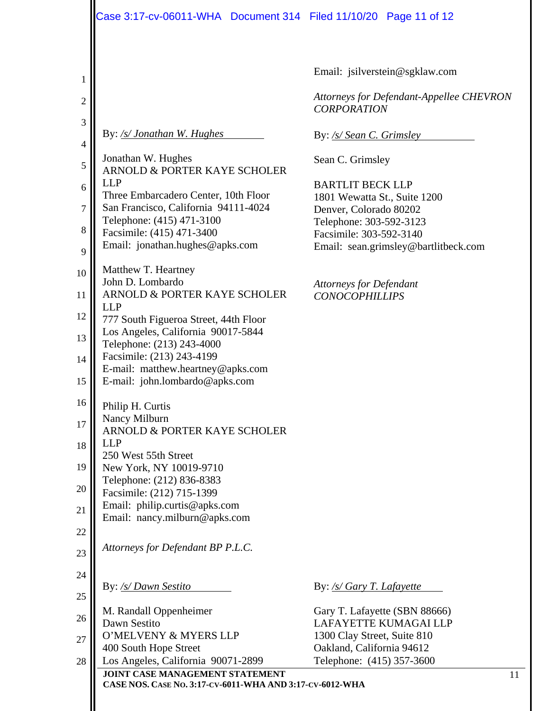|                                                                        | Case 3:17-cv-06011-WHA  Document 314  Filed 11/10/20  Page 11 of 12                                                                                                                                                                                                                                                       |                                                                                                                                                                                                                                       |
|------------------------------------------------------------------------|---------------------------------------------------------------------------------------------------------------------------------------------------------------------------------------------------------------------------------------------------------------------------------------------------------------------------|---------------------------------------------------------------------------------------------------------------------------------------------------------------------------------------------------------------------------------------|
| 1<br>$\overline{2}$<br>3<br>$\overline{4}$<br>5<br>6<br>$\overline{7}$ | By: /s/ Jonathan W. Hughes<br>Jonathan W. Hughes<br>ARNOLD & PORTER KAYE SCHOLER<br><b>LLP</b><br>Three Embarcadero Center, 10th Floor<br>San Francisco, California 94111-4024                                                                                                                                            | Email: jsilverstein@sgklaw.com<br>Attorneys for Defendant-Appellee CHEVRON<br><b>CORPORATION</b><br>By: /s/ Sean C. Grimsley<br>Sean C. Grimsley<br><b>BARTLIT BECK LLP</b><br>1801 Wewatta St., Suite 1200<br>Denver, Colorado 80202 |
| 8<br>9                                                                 | Telephone: (415) 471-3100<br>Facsimile: (415) 471-3400<br>Email: jonathan.hughes@apks.com                                                                                                                                                                                                                                 | Telephone: 303-592-3123<br>Facsimile: 303-592-3140<br>Email: sean.grimsley@bartlitbeck.com                                                                                                                                            |
| 10<br>11<br>12<br>13<br>14<br>15<br>16                                 | Matthew T. Heartney<br>John D. Lombardo<br>ARNOLD & PORTER KAYE SCHOLER<br><b>LLP</b><br>777 South Figueroa Street, 44th Floor<br>Los Angeles, California 90017-5844<br>Telephone: (213) 243-4000<br>Facsimile: (213) 243-4199<br>E-mail: matthew.heartney@apks.com<br>E-mail: john.lombardo@apks.com<br>Philip H. Curtis | <b>Attorneys for Defendant</b><br><b>CONOCOPHILLIPS</b>                                                                                                                                                                               |
| 17<br>18<br>19<br>20<br>21<br>22                                       | Nancy Milburn<br>ARNOLD & PORTER KAYE SCHOLER<br><b>LLP</b><br>250 West 55th Street<br>New York, NY 10019-9710<br>Telephone: (212) 836-8383<br>Facsimile: (212) 715-1399<br>Email: philip.curtis@apks.com<br>Email: nancy.milburn@apks.com                                                                                |                                                                                                                                                                                                                                       |
| 23                                                                     | Attorneys for Defendant BP P.L.C.                                                                                                                                                                                                                                                                                         |                                                                                                                                                                                                                                       |
| 24<br>25                                                               | By: /s/ Dawn Sestito                                                                                                                                                                                                                                                                                                      | By: /s/ Gary T. Lafayette                                                                                                                                                                                                             |
| 26<br>27<br>28                                                         | M. Randall Oppenheimer<br>Dawn Sestito<br>O'MELVENY & MYERS LLP<br>400 South Hope Street<br>Los Angeles, California 90071-2899                                                                                                                                                                                            | Gary T. Lafayette (SBN 88666)<br>LAFAYETTE KUMAGAI LLP<br>1300 Clay Street, Suite 810<br>Oakland, California 94612<br>Telephone: (415) 357-3600                                                                                       |
|                                                                        | JOINT CASE MANAGEMENT STATEMENT<br>CASE NOS. CASE No. 3:17-CV-6011-WHA AND 3:17-CV-6012-WHA                                                                                                                                                                                                                               | 11                                                                                                                                                                                                                                    |